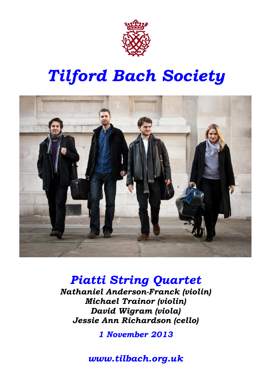

# Tilford Bach Society



### Piatti String Quartet

Nathaniel Anderson-Franck (violin) Michael Trainor (violin) David Wigram (viola) Jessie Ann Richardson (cello)

1 November 2013

www.tilbach.org.uk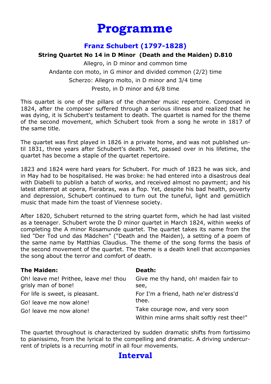### Programme

#### Franz Schubert (1797-1828)

#### String Quartet No 14 in D Minor (Death and the Maiden) D.810

Allegro, in D minor and common time Andante con moto, in G minor and divided common (2/2) time Scherzo: Allegro molto, in D minor and 3/4 time Presto, in D minor and 6/8 time

This quartet is one of the pillars of the chamber music repertoire. Composed in 1824, after the composer suffered through a serious illness and realized that he was dying, it is Schubert's testament to death. The quartet is named for the theme of the second movement, which Schubert took from a song he wrote in 1817 of the same title.

The quartet was first played in 1826 in a private home, and was not published until 1831, three years after Schubert's death. Yet, passed over in his lifetime, the quartet has become a staple of the quartet repertoire.

1823 and 1824 were hard years for Schubert. For much of 1823 he was sick, and in May had to be hospitalised. He was broke: he had entered into a disastrous deal with Diabelli to publish a batch of works, and received almost no payment; and his latest attempt at opera, Fierabras, was a flop. Yet, despite his bad health, poverty and depression, Schubert continued to turn out the tuneful, light and gemütlich music that made him the toast of Viennese society.

After 1820, Schubert returned to the string quartet form, which he had last visited as a teenager. Schubert wrote the D minor quartet in March 1824, within weeks of completing the A minor Rosamunde quartet. The quartet takes its name from the lied "Der Tod und das Mädchen" ("Death and the Maiden), a setting of a poem of the same name by Matthias Claudius. The theme of the song forms the basis of the second movement of the quartet. The theme is a death knell that accompanies the song about the terror and comfort of death.

| <b>The Maiden:</b>                    | Death:                                                                       |
|---------------------------------------|------------------------------------------------------------------------------|
| Oh! leave me! Prithee, leave me! thou | Give me thy hand, oh! maiden fair to                                         |
| grisly man of bone!                   | see,                                                                         |
| For life is sweet, is pleasant.       | For I'm a friend, hath ne'er distress'd                                      |
| Go! leave me now alone!               | thee.                                                                        |
| Go! leave me now alone!               | Take courage now, and very soon<br>Within mine arms shalt softly rest thee!" |

The quartet throughout is characterized by sudden dramatic shifts from fortissimo to pianissimo, from the lyrical to the compelling and dramatic. A driving undercurrent of triplets is a recurring motif in all four movements.

#### Interval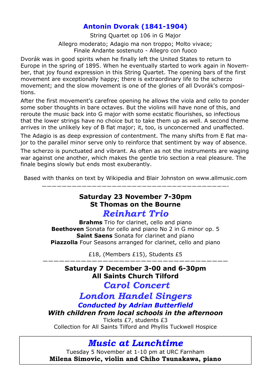#### Antonin Dvorak (1841-1904)

String Quartet op 106 in G Major Allegro moderato; Adagio ma non troppo; Molto vivace; Finale Andante sostenuto - Allegro con fuoco

Dvorák was in good spirits when he finally left the United States to return to Europe in the spring of 1895. When he eventually started to work again in November, that joy found expression in this String Quartet. The opening bars of the first movement are exceptionally happy; there is extraordinary life to the scherzo movement; and the slow movement is one of the glories of all Dvorák's compositions.

After the first movement's carefree opening he allows the viola and cello to ponder some sober thoughts in bare octaves. But the violins will have none of this, and reroute the music back into G major with some ecstatic flourishes, so infectious that the lower strings have no choice but to take them up as well. A second theme arrives in the unlikely key of B flat major; it, too, is unconcerned and unaffected.

The Adagio is as deep expression of contentment. The many shifts from E flat major to the parallel minor serve only to reinforce that sentiment by way of absence.

The scherzo is punctuated and vibrant. As often as not the instruments are waging war against one another, which makes the gentle trio section a real pleasure. The finale begins slowly but ends most exuberantly.

Based with thanks on text by Wikipedia and Blair Johnston on www.allmusic.com

—————————————————————————————————————-

#### Saturday 23 November 7-30pm St Thomas on the Bourne Reinhart Trio

**Brahms** Trio for clarinet, cello and piano Beethoven Sonata for cello and piano No 2 in G minor op. 5 Saint Saens Sonata for clarinet and piano Piazzolla Four Seasons arranged for clarinet, cello and piano

£18, (Members £15), Students £5 ——————————————————————————————————

> Saturday 7 December 3-00 and 6-30pm All Saints Church Tilford

Carol Concert

London Handel Singers Conducted by Adrian Butterfield

With children from local schools in the afternoon

Tickets £7, students £3 Collection for All Saints Tilford and Phyllis Tuckwell Hospice

Music at Lunchtime

Tuesday 5 November at 1-10 pm at URC Farnham Milena Simovic, violin and Chiho Tsunakawa, piano